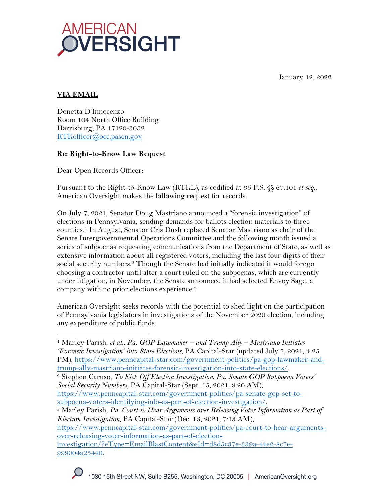January 12, 2022



# **VIA EMAIL**

Donetta D'Innocenzo Room 104 North Office Building Harrisburg, PA 17120-3052 RTKofficer@occ.pasen.gov

## **Re: Right-to-Know Law Request**

Dear Open Records Officer:

Pursuant to the Right-to-Know Law (RTKL), as codified at 65 P.S. §§ 67.101 *et seq.*, American Oversight makes the following request for records.

On July 7, 2021, Senator Doug Mastriano announced a "forensic investigation" of elections in Pennsylvania, sending demands for ballots election materials to three counties.1 In August, Senator Cris Dush replaced Senator Mastriano as chair of the Senate Intergovernmental Operations Committee and the following month issued a series of subpoenas requesting communications from the Department of State, as well as extensive information about all registered voters, including the last four digits of their social security numbers.<sup>2</sup> Though the Senate had initially indicated it would forego choosing a contractor until after a court ruled on the subpoenas, which are currently under litigation, in November, the Senate announced it had selected Envoy Sage, a company with no prior elections experience.3

American Oversight seeks records with the potential to shed light on the participation of Pennsylvania legislators in investigations of the November 2020 election, including any expenditure of public funds.

<sup>1</sup> Marley Parish, *et al.*, *Pa. GOP Lawmaker – and Trump Ally – Mastriano Initiates 'Forensic Investigation' into State Elections*, PA Capital-Star (updated July 7, 2021, 4:25 PM), https://www.penncapital-star.com/government-politics/pa-gop-lawmaker-andtrump-ally-mastriano-initiates-forensic-investigation-into-state-elections/. 2 Stephen Caruso, *To Kick Off Election Investigation, Pa. Senate GOP Subpoena Voters'* 

*Social Security Numbers*, PA Capital-Star (Sept. 15, 2021, 8:20 AM),

subpoena-voters-identifying-info-as-part-of-election-investigation/. 3 Marley Parish, *Pa. Court to Hear Arguments over Releasing Voter Information as Part of Election Investigation*, PA Capital-Star (Dec. 13, 2021, 7:13 AM),

https://www.penncapital-star.com/government-politics/pa-court-to-hear-argumentsover-releasing-voter-information-as-part-of-election-

investigation/?eType=EmailBlastContent&eId=d8d5c37e-539a-44e2-8c7e-999004a25440.

https://www.penncapital-star.com/government-politics/pa-senate-gop-set-to-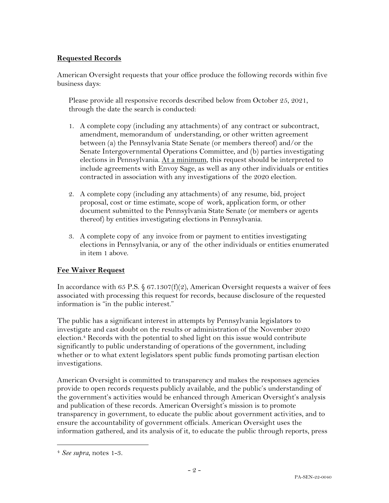## **Requested Records**

American Oversight requests that your office produce the following records within five business days:

Please provide all responsive records described below from October 25, 2021, through the date the search is conducted:

- 1. A complete copy (including any attachments) of any contract or subcontract, amendment, memorandum of understanding, or other written agreement between (a) the Pennsylvania State Senate (or members thereof) and/or the Senate Intergovernmental Operations Committee, and (b) parties investigating elections in Pennsylvania. At a minimum, this request should be interpreted to include agreements with Envoy Sage, as well as any other individuals or entities contracted in association with any investigations of the 2020 election.
- 2. A complete copy (including any attachments) of any resume, bid, project proposal, cost or time estimate, scope of work, application form, or other document submitted to the Pennsylvania State Senate (or members or agents thereof) by entities investigating elections in Pennsylvania.
- 3. A complete copy of any invoice from or payment to entities investigating elections in Pennsylvania, or any of the other individuals or entities enumerated in item 1 above.

### **Fee Waiver Request**

In accordance with 65 P.S.  $$ 67.1307(f)(2)$ , American Oversight requests a waiver of fees associated with processing this request for records, because disclosure of the requested information is "in the public interest."

The public has a significant interest in attempts by Pennsylvania legislators to investigate and cast doubt on the results or administration of the November 2020 election.4 Records with the potential to shed light on this issue would contribute significantly to public understanding of operations of the government, including whether or to what extent legislators spent public funds promoting partisan election investigations.

American Oversight is committed to transparency and makes the responses agencies provide to open records requests publicly available, and the public's understanding of the government's activities would be enhanced through American Oversight's analysis and publication of these records. American Oversight's mission is to promote transparency in government, to educate the public about government activities, and to ensure the accountability of government officials. American Oversight uses the information gathered, and its analysis of it, to educate the public through reports, press

<sup>4</sup> *See supra*, notes 1-3.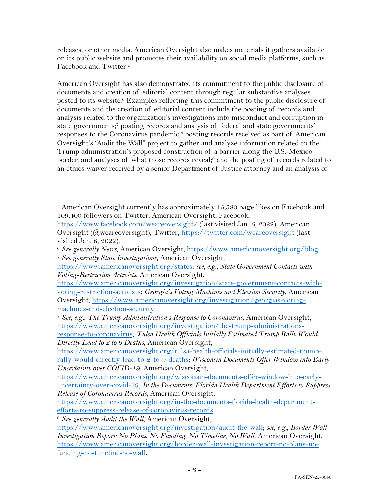releases, or other media. American Oversight also makes materials it gathers available on its public website and promotes their availability on social media platforms, such as Facebook and Twitter.5

American Oversight has also demonstrated its commitment to the public disclosure of documents and creation of editorial content through regular substantive analyses posted to its website.<sup>6</sup> Examples reflecting this commitment to the public disclosure of documents and the creation of editorial content include the posting of records and analysis related to the organization's investigations into misconduct and corruption in state governments; <sup>7</sup> posting records and analysis of federal and state governments' responses to the Coronavirus pandemic;<sup>8</sup> posting records received as part of American Oversight's "Audit the Wall" project to gather and analyze information related to the Trump administration's proposed construction of a barrier along the U.S.-Mexico border, and analyses of what those records reveal;9 and the posting of records related to an ethics waiver received by a senior Department of Justice attorney and an analysis of

 $5$  American Oversight currently has approximately 15,580 page likes on Facebook and 109,400 followers on Twitter. American Oversight, Facebook,

https://www.facebook.com/weareoversight/ (last visited Jan. 6, 2022); American Oversight (@weareoversight), Twitter, https://twitter.com/weareoversight (last visited Jan. 6, 2022).

<sup>6</sup> *See generally News*, American Oversight, https://www.americanoversight.org/blog. 7 *See generally State Investigations*, American Oversight,

https://www.americanoversight.org/states; *see, e.g.*, *State Government Contacts with Voting-Restriction Activists,* American Oversight,

https://www.americanoversight.org/investigation/state-government-contacts-withvoting-restriction-activists; *Georgia's Voting Machines and Election Security*, American Oversight, https://www.americanoversight.org/investigation/georgias-voting-

machines-and-election-security. 8 *See, e.g.*, *The Trump Administration's Response to Coronavirus*, American Oversight, https://www.americanoversight.org/investigation/the-trump-administrations-

response-to-coronavirus; *Tulsa Health Officials Initially Estimated Trump Rally Would Directly Lead to 2 to 9 Deaths*, American Oversight,

https://www.americanoversight.org/tulsa-health-officials-initially-estimated-trumprally-would-directly-lead-to-2-to-9-deaths; *Wisconsin Documents Offer Window into Early Uncertainty over COVID-19*, American Oversight,

https://www.americanoversight.org/wisconsin-documents-offer-window-into-earlyuncertainty-over-covid-19; *In the Documents: Florida Health Department Efforts to Suppress Release of Coronavirus Records*, American Oversight,

https://www.americanoversight.org/in-the-documents-florida-health-departmentefforts-to-suppress-release-of-coronavirus-records. 9 *See generally Audit the Wall*, American Oversight,

https://www.americanoversight.org/investigation/audit-the-wall; *see, e.g.*, *Border Wall Investigation Report: No Plans, No Funding, No Timeline, No Wall*, American Oversight, https://www.americanoversight.org/border-wall-investigation-report-no-plans-nofunding-no-timeline-no-wall.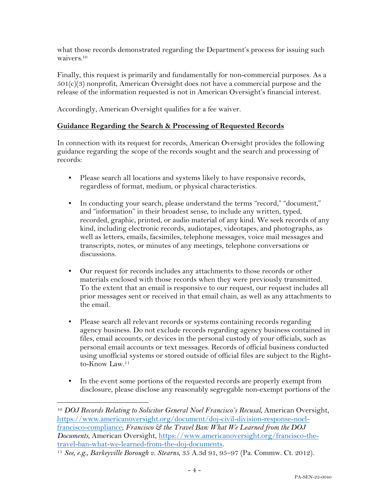what those records demonstrated regarding the Department's process for issuing such waivers.10

Finally, this request is primarily and fundamentally for non-commercial purposes. As a  $501(c)(3)$  nonprofit, American Oversight does not have a commercial purpose and the release of the information requested is not in American Oversight's financial interest.

Accordingly, American Oversight qualifies for a fee waiver.

### **Guidance Regarding the Search & Processing of Requested Records**

In connection with its request for records, American Oversight provides the following guidance regarding the scope of the records sought and the search and processing of records:

- Please search all locations and systems likely to have responsive records, regardless of format, medium, or physical characteristics.
- In conducting your search, please understand the terms "record," "document," and "information" in their broadest sense, to include any written, typed, recorded, graphic, printed, or audio material of any kind. We seek records of any kind, including electronic records, audiotapes, videotapes, and photographs, as well as letters, emails, facsimiles, telephone messages, voice mail messages and transcripts, notes, or minutes of any meetings, telephone conversations or discussions.
- Our request for records includes any attachments to those records or other materials enclosed with those records when they were previously transmitted. To the extent that an email is responsive to our request, our request includes all prior messages sent or received in that email chain, as well as any attachments to the email.
- Please search all relevant records or systems containing records regarding agency business. Do not exclude records regarding agency business contained in files, email accounts, or devices in the personal custody of your officials, such as personal email accounts or text messages. Records of official business conducted using unofficial systems or stored outside of official files are subject to the Rightto-Know Law. $11$
- **•** In the event some portions of the requested records are properly exempt from disclosure, please disclose any reasonably segregable non-exempt portions of the

<sup>10</sup> *DOJ Records Relating to Solicitor General Noel Francisco's Recusal*, American Oversight, https://www.americanoversight.org/document/doj-civil-division-response-noelfrancisco-compliance; *Francisco & the Travel Ban: What We Learned from the DOJ Documents*, American Oversight, https://www.americanoversight.org/francisco-thetravel-ban-what-we-learned-from-the-doj-documents.

<sup>11</sup> *See, e.g.*, *Barkeyville Borough v. Stearns*, 35 A.3d 91, 95–97 (Pa. Commw. Ct. 2012).